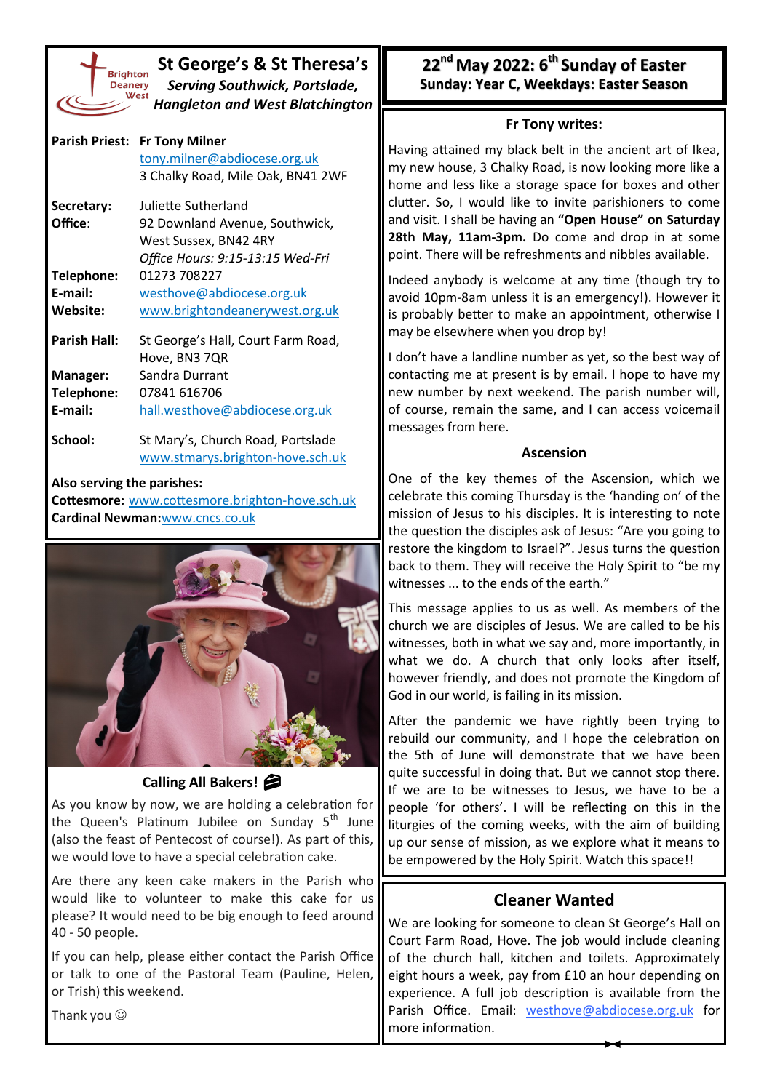

**St George's & St Theresa's** *Serving Southwick, Portslade, Hangleton and West Blatchington*

|                     | Parish Priest: Fr Tony Milner<br>tony.milner@abdiocese.org.uk<br>3 Chalky Road, Mile Oak, BN41 2WF |
|---------------------|----------------------------------------------------------------------------------------------------|
| Secretary:          | Juliette Sutherland                                                                                |
| Office:             | 92 Downland Avenue, Southwick,                                                                     |
|                     | West Sussex, BN42 4RY                                                                              |
|                     | Office Hours: 9:15-13:15 Wed-Fri                                                                   |
| Telephone:          | 01273 708227                                                                                       |
| E-mail:             | westhove@abdiocese.org.uk                                                                          |
| Website:            | www.brightondeanerywest.org.uk                                                                     |
| <b>Parish Hall:</b> | St George's Hall, Court Farm Road,                                                                 |
|                     | Hove, BN3 7QR                                                                                      |
| Manager:            | Sandra Durrant                                                                                     |
| Telephone:          | 07841 616706                                                                                       |

**E-mail:** [hall.westhove@abdiocese.org.uk](mailto:westhove@abdiocese.org.uk?subject=Message%20sent%20via%20the%20newsletter)

**School:** St Mary's, Church Road, Portslade [www.stmarys.brighton](https://www.stmarys.brighton-hove.sch.uk/)-hove.sch.uk

#### **Also serving the parishes:**

**Cottesmore:** [www.cottesmore.brighton](http://www.cottesmore.brighton-hove.sch.uk)-hove.sch.uk **Cardinal Newman:**[www.cncs.co.uk](https://www.cncs.co.uk/)



## **Calling All Bakers!**

As you know by now, we are holding a celebration for the Queen's Platinum Jubilee on Sunday 5<sup>th</sup> June (also the feast of Pentecost of course!). As part of this, we would love to have a special celebration cake.

Are there any keen cake makers in the Parish who would like to volunteer to make this cake for us please? It would need to be big enough to feed around 40 - 50 people.

If you can help, please either contact the Parish Office or talk to one of the Pastoral Team (Pauline, Helen, or Trish) this weekend.

**22nd May 2022: 6th Sunday of Easter Sunday: Year C, Weekdays: Easter Season** 

### **Fr Tony writes:**

Having attained my black belt in the ancient art of Ikea, my new house, 3 Chalky Road, is now looking more like a home and less like a storage space for boxes and other clutter. So, I would like to invite parishioners to come and visit. I shall be having an **"Open House" on Saturday 28th May, 11am-3pm.** Do come and drop in at some point. There will be refreshments and nibbles available.

Indeed anybody is welcome at any time (though try to avoid 10pm-8am unless it is an emergency!). However it is probably better to make an appointment, otherwise I may be elsewhere when you drop by!

I don't have a landline number as yet, so the best way of contacting me at present is by email. I hope to have my new number by next weekend. The parish number will, of course, remain the same, and I can access voicemail messages from here.

### **Ascension**

One of the key themes of the Ascension, which we celebrate this coming Thursday is the 'handing on' of the mission of Jesus to his disciples. It is interesting to note the question the disciples ask of Jesus: "Are you going to restore the kingdom to Israel?". Jesus turns the question back to them. They will receive the Holy Spirit to "be my witnesses ... to the ends of the earth."

This message applies to us as well. As members of the church we are disciples of Jesus. We are called to be his witnesses, both in what we say and, more importantly, in what we do. A church that only looks after itself, however friendly, and does not promote the Kingdom of God in our world, is failing in its mission.

After the pandemic we have rightly been trying to rebuild our community, and I hope the celebration on the 5th of June will demonstrate that we have been quite successful in doing that. But we cannot stop there. If we are to be witnesses to Jesus, we have to be a people 'for others'. I will be reflecting on this in the liturgies of the coming weeks, with the aim of building up our sense of mission, as we explore what it means to be empowered by the Holy Spirit. Watch this space!!

# **Cleaner Wanted**

We are looking for someone to clean St George's Hall on Court Farm Road, Hove. The job would include cleaning of the church hall, kitchen and toilets. Approximately eight hours a week, pay from £10 an hour depending on experience. A full job description is available from the Parish Office. Email: [westhove@](mailto:westhove@abdiocese.org.uk?subject=westhove@abdiocese.org.uk)[abdiocese.org.uk](mailto:tony.milner@abdiocese.org.uk?subject=I%20am%20interested%20in%20the%20post%20of%20Parish%20Secretary) for more information.

Thank you  $\odot$